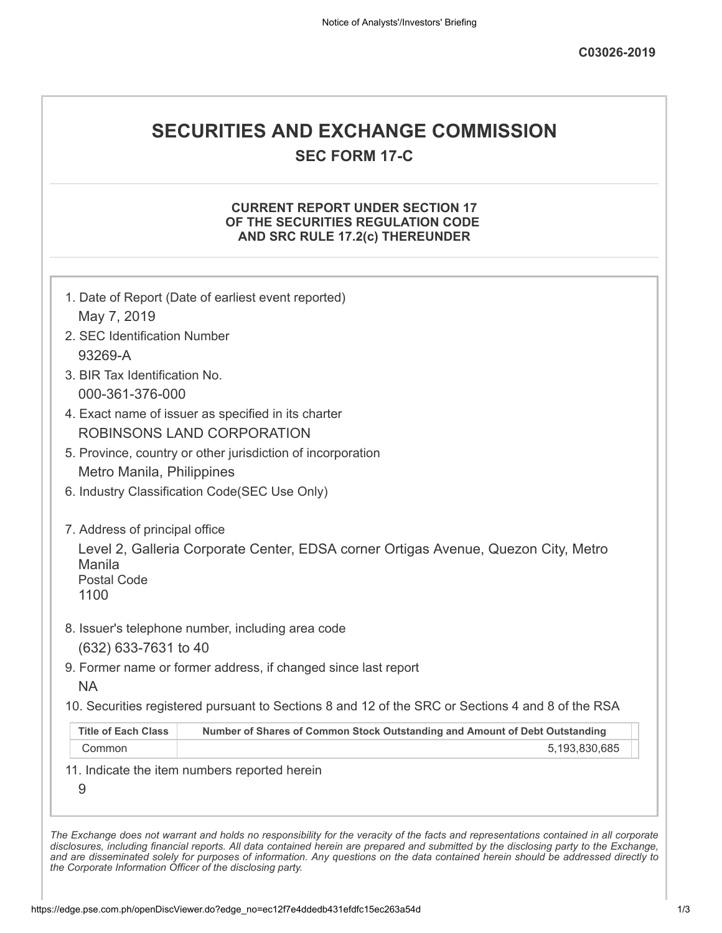## **SECURITIES AND EXCHANGE COMMISSION**

**SEC FORM 17-C**

## **CURRENT REPORT UNDER SECTION 17 OF THE SECURITIES REGULATION CODE AND SRC RULE 17.2(c) THEREUNDER**

|                                | 1. Date of Report (Date of earliest event reported)                                               |
|--------------------------------|---------------------------------------------------------------------------------------------------|
| May 7, 2019                    |                                                                                                   |
| 2. SEC Identification Number   |                                                                                                   |
| 93269-A                        |                                                                                                   |
| 3. BIR Tax Identification No.  |                                                                                                   |
| 000-361-376-000                |                                                                                                   |
|                                | 4. Exact name of issuer as specified in its charter                                               |
|                                | ROBINSONS LAND CORPORATION                                                                        |
|                                | 5. Province, country or other jurisdiction of incorporation                                       |
| Metro Manila, Philippines      |                                                                                                   |
|                                | 6. Industry Classification Code(SEC Use Only)                                                     |
|                                |                                                                                                   |
| 7. Address of principal office |                                                                                                   |
| Manila                         | Level 2, Galleria Corporate Center, EDSA corner Ortigas Avenue, Quezon City, Metro                |
| <b>Postal Code</b>             |                                                                                                   |
| 1100                           |                                                                                                   |
|                                | 8. Issuer's telephone number, including area code                                                 |
| (632) 633-7631 to 40           |                                                                                                   |
|                                | 9. Former name or former address, if changed since last report                                    |
| <b>NA</b>                      |                                                                                                   |
|                                | 10. Securities registered pursuant to Sections 8 and 12 of the SRC or Sections 4 and 8 of the RSA |
| <b>Title of Each Class</b>     | Number of Shares of Common Stock Outstanding and Amount of Debt Outstanding                       |
|                                | 5,193,830,685                                                                                     |
| Common                         |                                                                                                   |
|                                | 11. Indicate the item numbers reported herein                                                     |
| 9                              |                                                                                                   |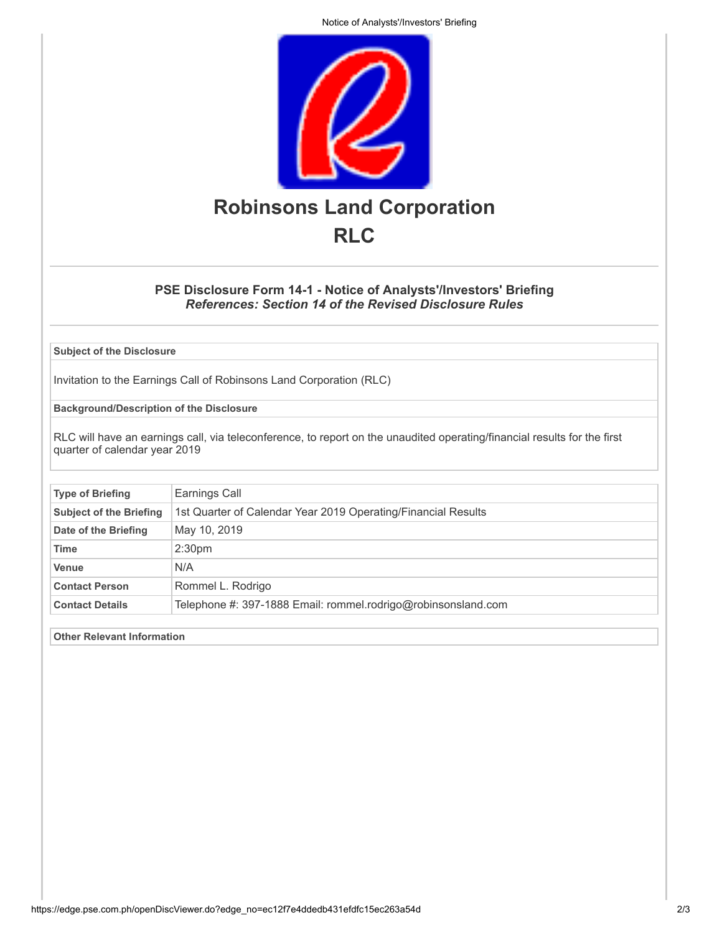Notice of Analysts'/Investors' Briefing



## **PSE Disclosure Form 14-1 - Notice of Analysts'/Investors' Briefing** *References: Section 14 of the Revised Disclosure Rules*

**Subject of the Disclosure**

Invitation to the Earnings Call of Robinsons Land Corporation (RLC)

**Background/Description of the Disclosure**

RLC will have an earnings call, via teleconference, to report on the unaudited operating/financial results for the first quarter of calendar year 2019

| <b>Type of Briefing</b>        | Earnings Call                                                 |
|--------------------------------|---------------------------------------------------------------|
| <b>Subject of the Briefing</b> | 1st Quarter of Calendar Year 2019 Operating/Financial Results |
| Date of the Briefing           | May 10, 2019                                                  |
| <b>Time</b>                    | 2:30 <sub>pm</sub>                                            |
| <b>Venue</b>                   | N/A                                                           |
| <b>Contact Person</b>          | Rommel L. Rodrigo                                             |
| <b>Contact Details</b>         | Telephone #: 397-1888 Email: rommel.rodrigo@robinsonsland.com |

**Other Relevant Information**